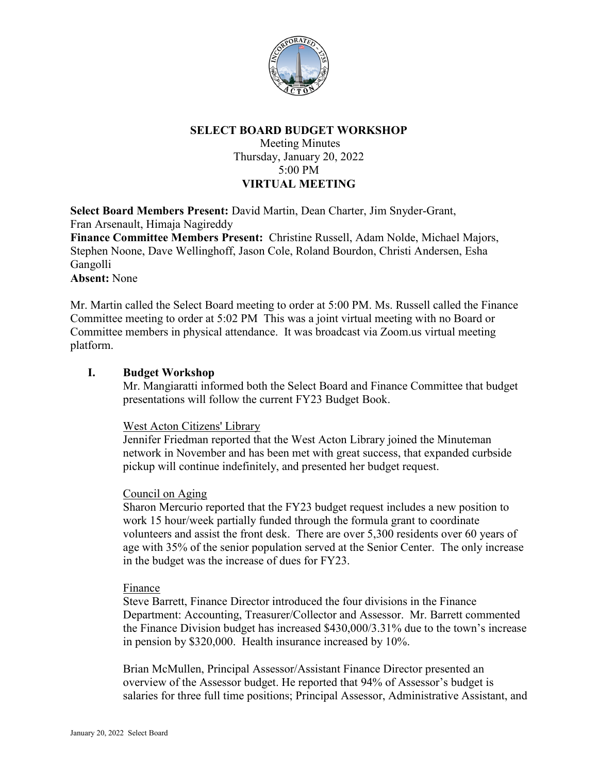

# **SELECT BOARD BUDGET WORKSHOP**

Meeting Minutes Thursday, January 20, 2022 5:00 PM **VIRTUAL MEETING**

**Select Board Members Present:** David Martin, Dean Charter, Jim Snyder-Grant, Fran Arsenault, Himaja Nagireddy **Finance Committee Members Present:** Christine Russell, Adam Nolde, Michael Majors, Stephen Noone, Dave Wellinghoff, Jason Cole, Roland Bourdon, Christi Andersen, Esha Gangolli **Absent:** None

Mr. Martin called the Select Board meeting to order at 5:00 PM. Ms. Russell called the Finance Committee meeting to order at 5:02 PM This was a joint virtual meeting with no Board or Committee members in physical attendance. It was broadcast via Zoom.us virtual meeting platform.

### **I. Budget Workshop**

Mr. Mangiaratti informed both the Select Board and Finance Committee that budget presentations will follow the current FY23 Budget Book.

### West Acton Citizens' Library

Jennifer Friedman reported that the West Acton Library joined the Minuteman network in November and has been met with great success, that expanded curbside pickup will continue indefinitely, and presented her budget request.

### Council on Aging

Sharon Mercurio reported that the FY23 budget request includes a new position to work 15 hour/week partially funded through the formula grant to coordinate volunteers and assist the front desk. There are over 5,300 residents over 60 years of age with 35% of the senior population served at the Senior Center. The only increase in the budget was the increase of dues for FY23.

#### Finance

Steve Barrett, Finance Director introduced the four divisions in the Finance Department: Accounting, Treasurer/Collector and Assessor. Mr. Barrett commented the Finance Division budget has increased \$430,000/3.31% due to the town's increase in pension by \$320,000. Health insurance increased by 10%.

Brian McMullen, Principal Assessor/Assistant Finance Director presented an overview of the Assessor budget. He reported that 94% of Assessor's budget is salaries for three full time positions; Principal Assessor, Administrative Assistant, and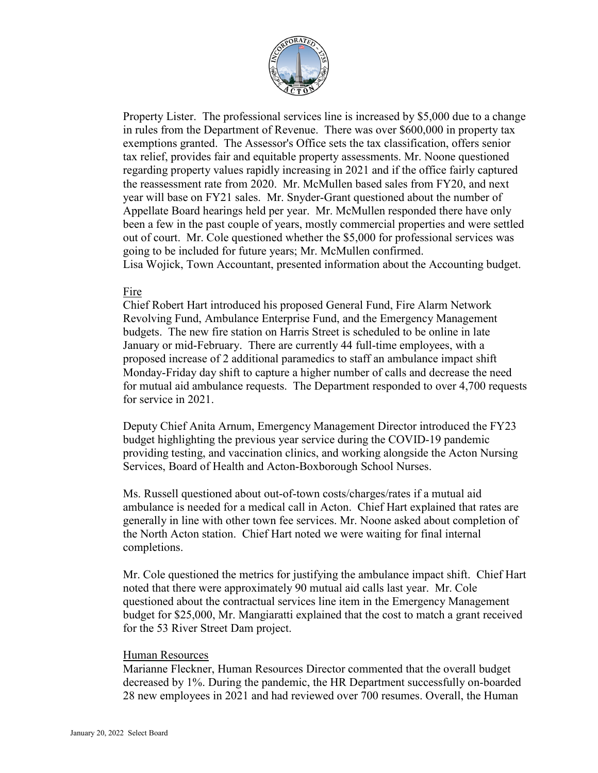

Property Lister. The professional services line is increased by \$5,000 due to a change in rules from the Department of Revenue. There was over \$600,000 in property tax exemptions granted. The Assessor's Office sets the tax classification, offers senior tax relief, provides fair and equitable property assessments. Mr. Noone questioned regarding property values rapidly increasing in 2021 and if the office fairly captured the reassessment rate from 2020. Mr. McMullen based sales from FY20, and next year will base on FY21 sales. Mr. Snyder-Grant questioned about the number of Appellate Board hearings held per year. Mr. McMullen responded there have only been a few in the past couple of years, mostly commercial properties and were settled out of court. Mr. Cole questioned whether the \$5,000 for professional services was going to be included for future years; Mr. McMullen confirmed. Lisa Wojick, Town Accountant, presented information about the Accounting budget.

#### Fire

Chief Robert Hart introduced his proposed General Fund, Fire Alarm Network Revolving Fund, Ambulance Enterprise Fund, and the Emergency Management budgets. The new fire station on Harris Street is scheduled to be online in late January or mid-February. There are currently 44 full-time employees, with a proposed increase of 2 additional paramedics to staff an ambulance impact shift Monday-Friday day shift to capture a higher number of calls and decrease the need for mutual aid ambulance requests. The Department responded to over 4,700 requests for service in 2021.

Deputy Chief Anita Arnum, Emergency Management Director introduced the FY23 budget highlighting the previous year service during the COVID-19 pandemic providing testing, and vaccination clinics, and working alongside the Acton Nursing Services, Board of Health and Acton-Boxborough School Nurses.

Ms. Russell questioned about out-of-town costs/charges/rates if a mutual aid ambulance is needed for a medical call in Acton. Chief Hart explained that rates are generally in line with other town fee services. Mr. Noone asked about completion of the North Acton station. Chief Hart noted we were waiting for final internal completions.

Mr. Cole questioned the metrics for justifying the ambulance impact shift. Chief Hart noted that there were approximately 90 mutual aid calls last year. Mr. Cole questioned about the contractual services line item in the Emergency Management budget for \$25,000, Mr. Mangiaratti explained that the cost to match a grant received for the 53 River Street Dam project.

#### Human Resources

Marianne Fleckner, Human Resources Director commented that the overall budget decreased by 1%. During the pandemic, the HR Department successfully on-boarded 28 new employees in 2021 and had reviewed over 700 resumes. Overall, the Human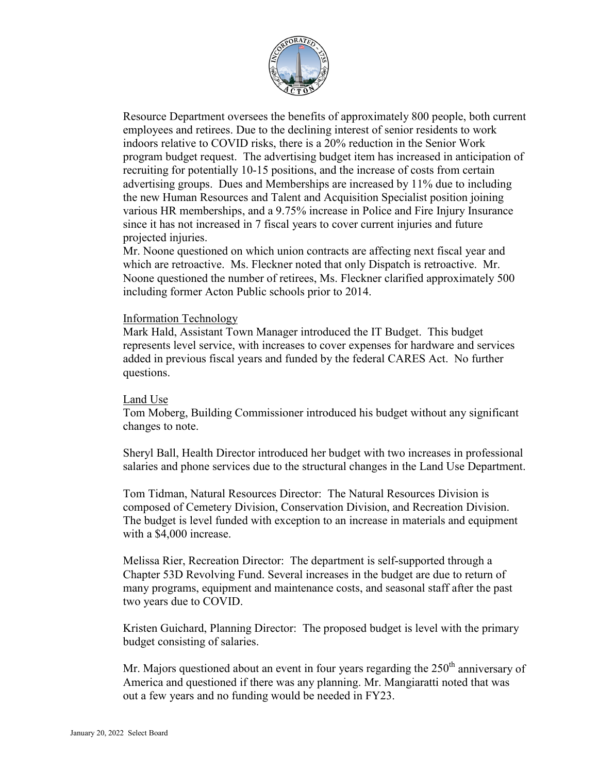

Resource Department oversees the benefits of approximately 800 people, both current employees and retirees. Due to the declining interest of senior residents to work indoors relative to COVID risks, there is a 20% reduction in the Senior Work program budget request. The advertising budget item has increased in anticipation of recruiting for potentially 10-15 positions, and the increase of costs from certain advertising groups. Dues and Memberships are increased by 11% due to including the new Human Resources and Talent and Acquisition Specialist position joining various HR memberships, and a 9.75% increase in Police and Fire Injury Insurance since it has not increased in 7 fiscal years to cover current injuries and future projected injuries.

Mr. Noone questioned on which union contracts are affecting next fiscal year and which are retroactive. Ms. Fleckner noted that only Dispatch is retroactive. Mr. Noone questioned the number of retirees, Ms. Fleckner clarified approximately 500 including former Acton Public schools prior to 2014.

### Information Technology

Mark Hald, Assistant Town Manager introduced the IT Budget. This budget represents level service, with increases to cover expenses for hardware and services added in previous fiscal years and funded by the federal CARES Act. No further questions.

### Land Use

Tom Moberg, Building Commissioner introduced his budget without any significant changes to note.

Sheryl Ball, Health Director introduced her budget with two increases in professional salaries and phone services due to the structural changes in the Land Use Department.

Tom Tidman, Natural Resources Director: The Natural Resources Division is composed of Cemetery Division, Conservation Division, and Recreation Division. The budget is level funded with exception to an increase in materials and equipment with a \$4,000 increase.

Melissa Rier, Recreation Director: The department is self-supported through a Chapter 53D Revolving Fund. Several increases in the budget are due to return of many programs, equipment and maintenance costs, and seasonal staff after the past two years due to COVID.

Kristen Guichard, Planning Director: The proposed budget is level with the primary budget consisting of salaries.

Mr. Majors questioned about an event in four years regarding the  $250<sup>th</sup>$  anniversary of America and questioned if there was any planning. Mr. Mangiaratti noted that was out a few years and no funding would be needed in FY23.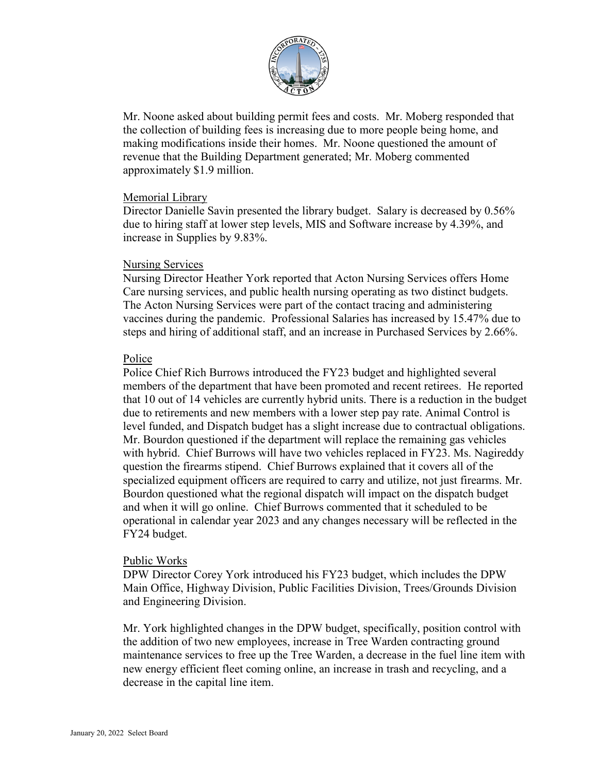

Mr. Noone asked about building permit fees and costs. Mr. Moberg responded that the collection of building fees is increasing due to more people being home, and making modifications inside their homes. Mr. Noone questioned the amount of revenue that the Building Department generated; Mr. Moberg commented approximately \$1.9 million.

### Memorial Library

Director Danielle Savin presented the library budget. Salary is decreased by 0.56% due to hiring staff at lower step levels, MIS and Software increase by 4.39%, and increase in Supplies by 9.83%.

#### Nursing Services

Nursing Director Heather York reported that Acton Nursing Services offers Home Care nursing services, and public health nursing operating as two distinct budgets. The Acton Nursing Services were part of the contact tracing and administering vaccines during the pandemic. Professional Salaries has increased by 15.47% due to steps and hiring of additional staff, and an increase in Purchased Services by 2.66%.

### Police

Police Chief Rich Burrows introduced the FY23 budget and highlighted several members of the department that have been promoted and recent retirees. He reported that 10 out of 14 vehicles are currently hybrid units. There is a reduction in the budget due to retirements and new members with a lower step pay rate. Animal Control is level funded, and Dispatch budget has a slight increase due to contractual obligations. Mr. Bourdon questioned if the department will replace the remaining gas vehicles with hybrid. Chief Burrows will have two vehicles replaced in FY23. Ms. Nagireddy question the firearms stipend. Chief Burrows explained that it covers all of the specialized equipment officers are required to carry and utilize, not just firearms. Mr. Bourdon questioned what the regional dispatch will impact on the dispatch budget and when it will go online. Chief Burrows commented that it scheduled to be operational in calendar year 2023 and any changes necessary will be reflected in the FY24 budget.

### Public Works

DPW Director Corey York introduced his FY23 budget, which includes the DPW Main Office, Highway Division, Public Facilities Division, Trees/Grounds Division and Engineering Division.

Mr. York highlighted changes in the DPW budget, specifically, position control with the addition of two new employees, increase in Tree Warden contracting ground maintenance services to free up the Tree Warden, a decrease in the fuel line item with new energy efficient fleet coming online, an increase in trash and recycling, and a decrease in the capital line item.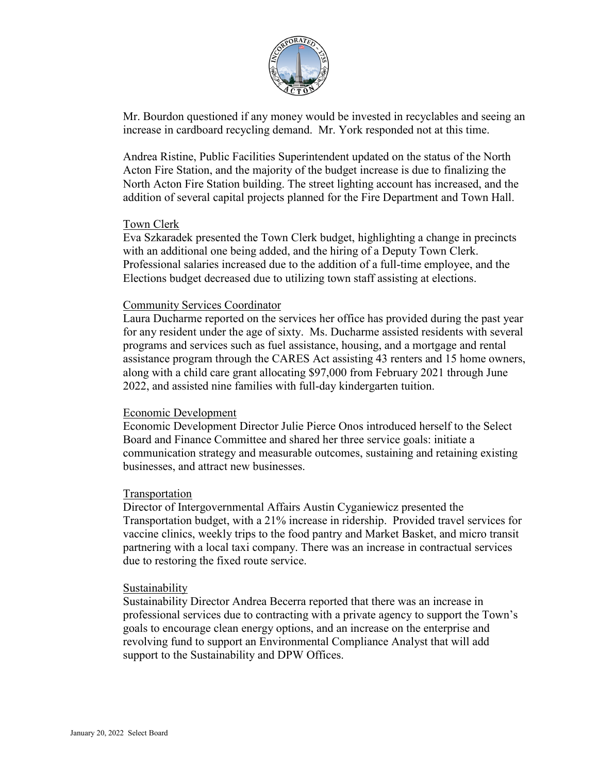

Mr. Bourdon questioned if any money would be invested in recyclables and seeing an increase in cardboard recycling demand. Mr. York responded not at this time.

Andrea Ristine, Public Facilities Superintendent updated on the status of the North Acton Fire Station, and the majority of the budget increase is due to finalizing the North Acton Fire Station building. The street lighting account has increased, and the addition of several capital projects planned for the Fire Department and Town Hall.

#### Town Clerk

Eva Szkaradek presented the Town Clerk budget, highlighting a change in precincts with an additional one being added, and the hiring of a Deputy Town Clerk. Professional salaries increased due to the addition of a full-time employee, and the Elections budget decreased due to utilizing town staff assisting at elections.

### Community Services Coordinator

Laura Ducharme reported on the services her office has provided during the past year for any resident under the age of sixty. Ms. Ducharme assisted residents with several programs and services such as fuel assistance, housing, and a mortgage and rental assistance program through the CARES Act assisting 43 renters and 15 home owners, along with a child care grant allocating \$97,000 from February 2021 through June 2022, and assisted nine families with full-day kindergarten tuition.

#### Economic Development

Economic Development Director Julie Pierce Onos introduced herself to the Select Board and Finance Committee and shared her three service goals: initiate a communication strategy and measurable outcomes, sustaining and retaining existing businesses, and attract new businesses.

### Transportation

Director of Intergovernmental Affairs Austin Cyganiewicz presented the Transportation budget, with a 21% increase in ridership. Provided travel services for vaccine clinics, weekly trips to the food pantry and Market Basket, and micro transit partnering with a local taxi company. There was an increase in contractual services due to restoring the fixed route service.

#### Sustainability

Sustainability Director Andrea Becerra reported that there was an increase in professional services due to contracting with a private agency to support the Town's goals to encourage clean energy options, and an increase on the enterprise and revolving fund to support an Environmental Compliance Analyst that will add support to the Sustainability and DPW Offices.